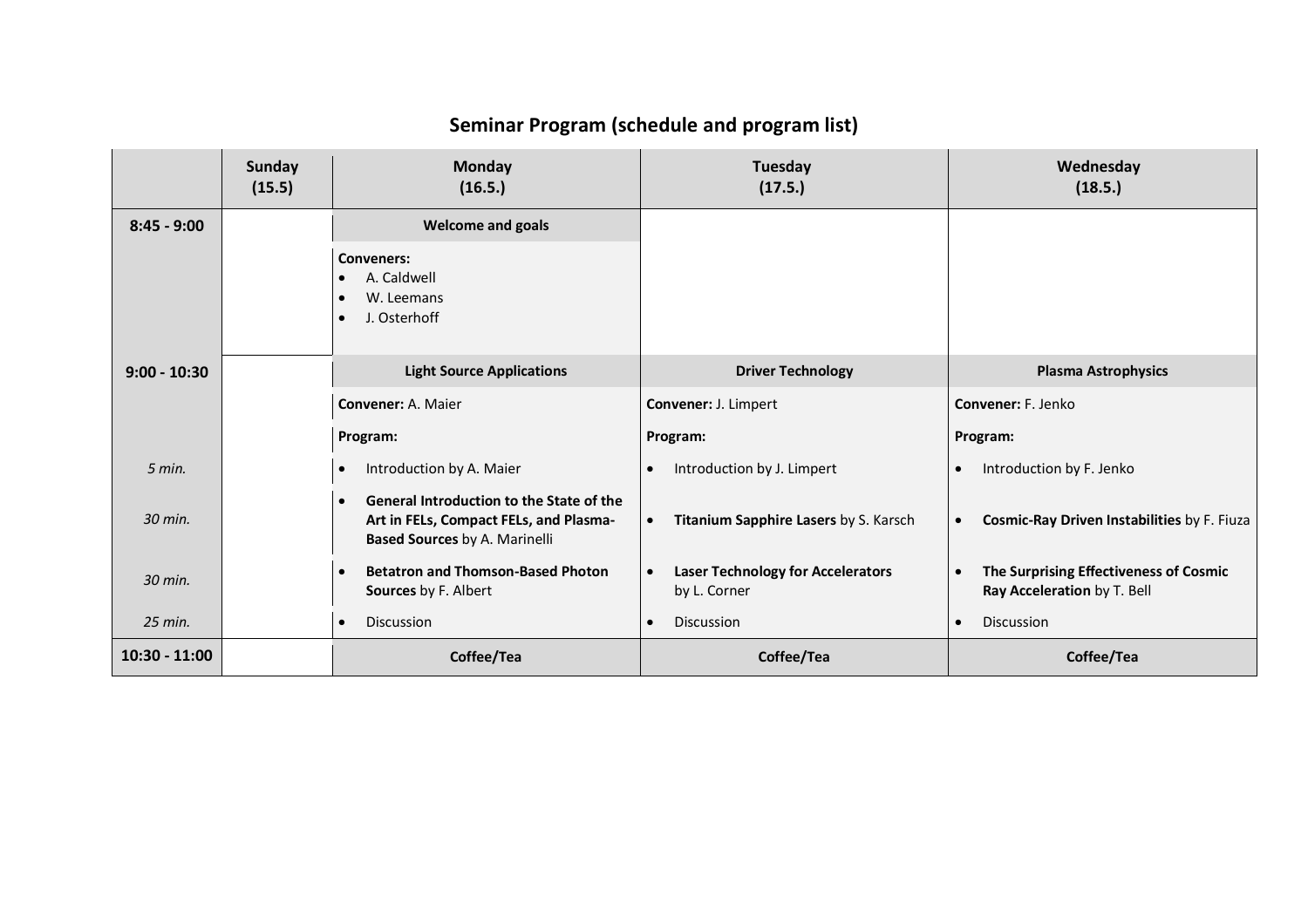|                 | <b>Sunday</b><br>(15.5) | <b>Monday</b><br>(16.5.)                                                                                                   | Tuesday<br>(17.5.)                                                    | Wednesday<br>(18.5.)                                                               |
|-----------------|-------------------------|----------------------------------------------------------------------------------------------------------------------------|-----------------------------------------------------------------------|------------------------------------------------------------------------------------|
| $8:45 - 9:00$   |                         | <b>Welcome and goals</b>                                                                                                   |                                                                       |                                                                                    |
|                 |                         | <b>Conveners:</b><br>A. Caldwell<br>W. Leemans<br>J. Osterhoff                                                             |                                                                       |                                                                                    |
| $9:00 - 10:30$  |                         | <b>Light Source Applications</b>                                                                                           | <b>Driver Technology</b>                                              | <b>Plasma Astrophysics</b>                                                         |
|                 |                         | <b>Convener: A. Maier</b>                                                                                                  | Convener: J. Limpert                                                  | Convener: F. Jenko                                                                 |
|                 |                         | Program:                                                                                                                   | Program:                                                              | Program:                                                                           |
| $5$ min.        |                         | Introduction by A. Maier                                                                                                   | Introduction by J. Limpert<br>$\bullet$                               | Introduction by F. Jenko<br>$\bullet$                                              |
| 30 min.         |                         | General Introduction to the State of the<br>Art in FELs, Compact FELs, and Plasma-<br><b>Based Sources by A. Marinelli</b> | Titanium Sapphire Lasers by S. Karsch<br>$\bullet$                    | Cosmic-Ray Driven Instabilities by F. Fiuza<br>$\bullet$                           |
| 30 min.         |                         | <b>Betatron and Thomson-Based Photon</b><br>Sources by F. Albert                                                           | <b>Laser Technology for Accelerators</b><br>$\bullet$<br>by L. Corner | The Surprising Effectiveness of Cosmic<br>$\bullet$<br>Ray Acceleration by T. Bell |
| 25 min.         |                         | <b>Discussion</b>                                                                                                          | <b>Discussion</b><br>$\bullet$                                        | <b>Discussion</b><br>$\bullet$                                                     |
| $10:30 - 11:00$ |                         | Coffee/Tea                                                                                                                 | Coffee/Tea                                                            | Coffee/Tea                                                                         |

## **Seminar Program (schedule and program list)**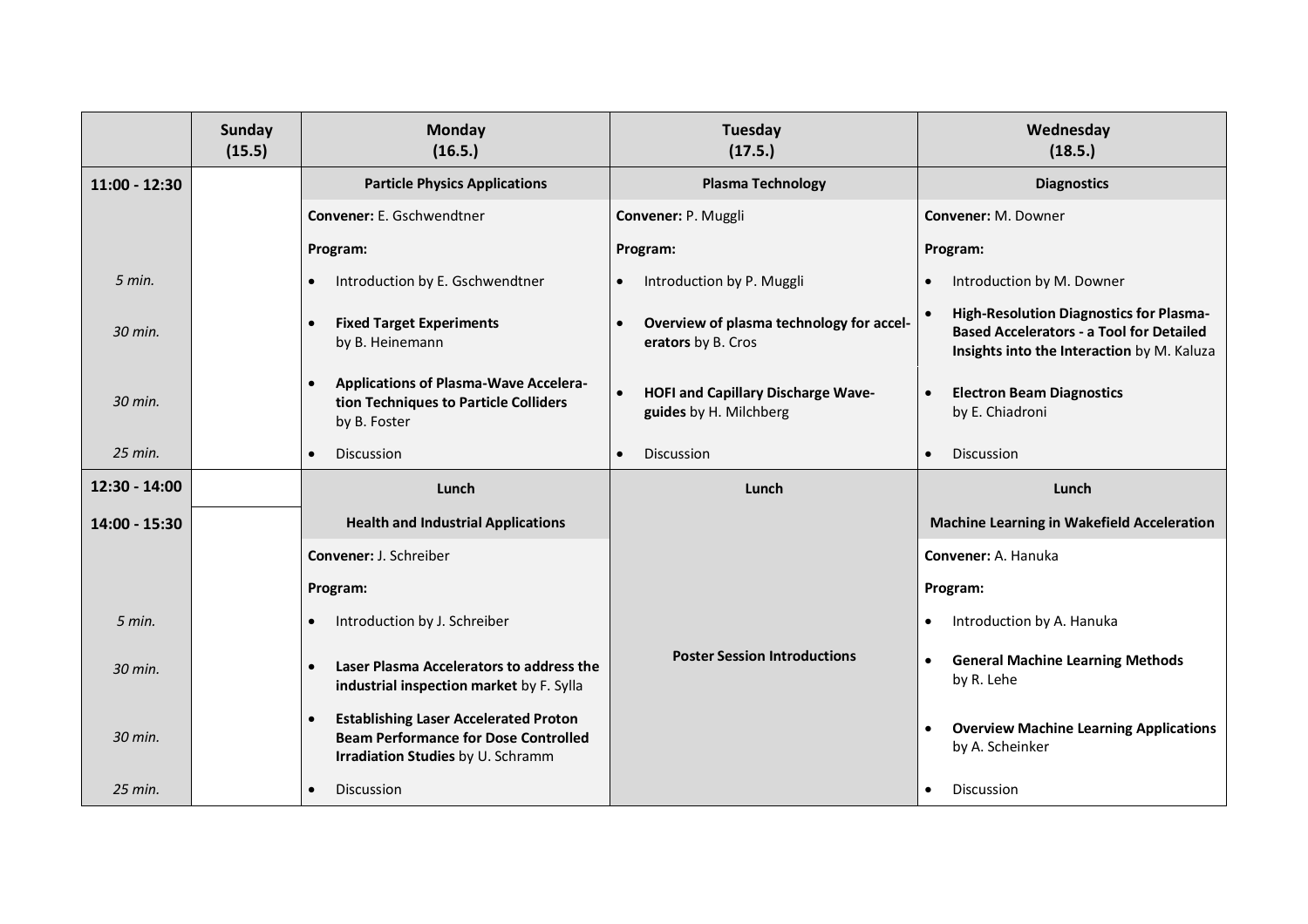|                 | <b>Sunday</b><br>(15.5) | <b>Monday</b><br>(16.5.)                                                                                                                      | Tuesday<br>(17.5.)                                                               | Wednesday<br>(18.5.)                                                                                                                     |
|-----------------|-------------------------|-----------------------------------------------------------------------------------------------------------------------------------------------|----------------------------------------------------------------------------------|------------------------------------------------------------------------------------------------------------------------------------------|
| $11:00 - 12:30$ |                         | <b>Particle Physics Applications</b>                                                                                                          | <b>Plasma Technology</b>                                                         | <b>Diagnostics</b>                                                                                                                       |
|                 |                         | <b>Convener:</b> E. Gschwendtner                                                                                                              | Convener: P. Muggli                                                              | Convener: M. Downer                                                                                                                      |
|                 |                         | Program:                                                                                                                                      | Program:                                                                         | Program:                                                                                                                                 |
| 5 min.          |                         | Introduction by E. Gschwendtner<br>$\bullet$                                                                                                  | Introduction by P. Muggli                                                        | Introduction by M. Downer<br>$\bullet$                                                                                                   |
| 30 min.         |                         | <b>Fixed Target Experiments</b><br>$\bullet$<br>by B. Heinemann                                                                               | Overview of plasma technology for accel-<br>erators by B. Cros                   | High-Resolution Diagnostics for Plasma-<br><b>Based Accelerators - a Tool for Detailed</b><br>Insights into the Interaction by M. Kaluza |
| 30 min.         |                         | <b>Applications of Plasma-Wave Accelera-</b><br>$\bullet$<br>tion Techniques to Particle Colliders<br>by B. Foster                            | <b>HOFI and Capillary Discharge Wave-</b><br>$\bullet$<br>guides by H. Milchberg | <b>Electron Beam Diagnostics</b><br>$\bullet$<br>by E. Chiadroni                                                                         |
| $25$ min.       |                         | Discussion                                                                                                                                    | <b>Discussion</b><br>$\bullet$                                                   | Discussion<br>$\bullet$                                                                                                                  |
| $12:30 - 14:00$ |                         | Lunch                                                                                                                                         | Lunch                                                                            | Lunch                                                                                                                                    |
| 14:00 - 15:30   |                         | <b>Health and Industrial Applications</b>                                                                                                     |                                                                                  | <b>Machine Learning in Wakefield Acceleration</b>                                                                                        |
|                 |                         | <b>Convener: J. Schreiber</b>                                                                                                                 |                                                                                  | <b>Convener: A. Hanuka</b>                                                                                                               |
|                 |                         | Program:                                                                                                                                      |                                                                                  | Program:                                                                                                                                 |
| $5$ min.        |                         | Introduction by J. Schreiber<br>$\bullet$                                                                                                     |                                                                                  | Introduction by A. Hanuka<br>$\bullet$                                                                                                   |
| 30 min.         |                         | Laser Plasma Accelerators to address the<br>$\bullet$<br>industrial inspection market by F. Sylla                                             | <b>Poster Session Introductions</b>                                              | <b>General Machine Learning Methods</b><br>$\bullet$<br>by R. Lehe                                                                       |
| 30 min.         |                         | <b>Establishing Laser Accelerated Proton</b><br>$\bullet$<br><b>Beam Performance for Dose Controlled</b><br>Irradiation Studies by U. Schramm |                                                                                  | <b>Overview Machine Learning Applications</b><br>$\bullet$<br>by A. Scheinker                                                            |
| 25 min.         |                         | Discussion                                                                                                                                    |                                                                                  | Discussion<br>$\bullet$                                                                                                                  |